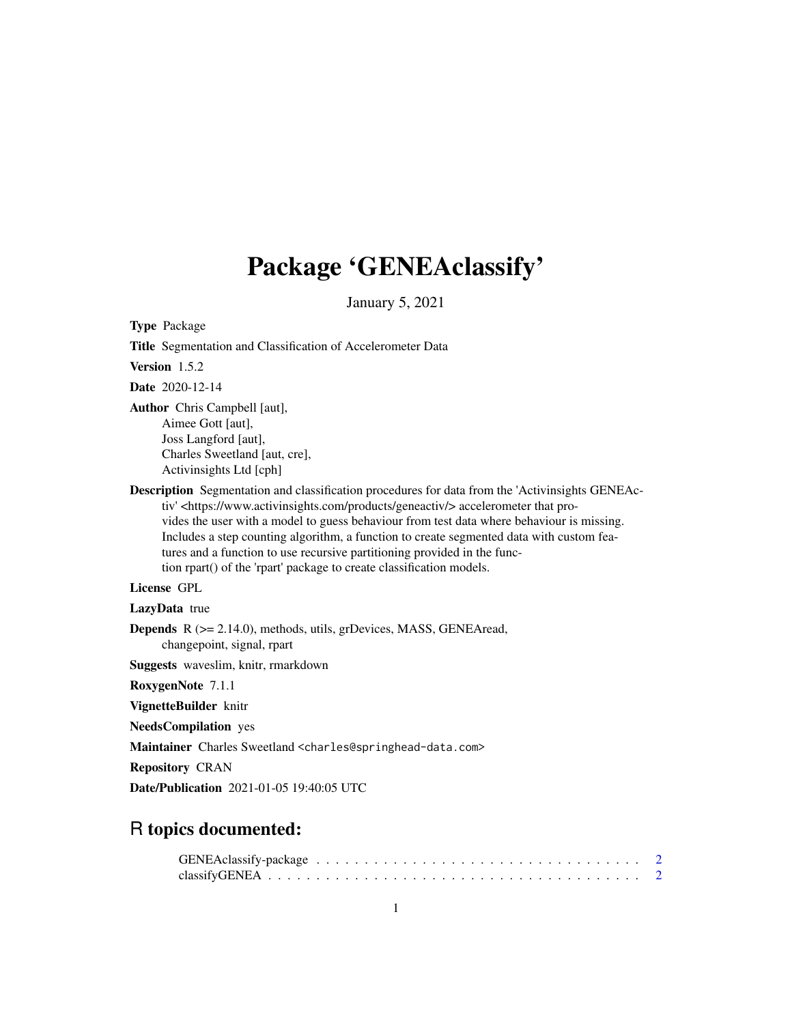# Package 'GENEAclassify'

January 5, 2021

<span id="page-0-0"></span>

| <b>Type Package</b>                                                                                                                                                                                                                                                                                                                                                                                                                                                                                                                                     |
|---------------------------------------------------------------------------------------------------------------------------------------------------------------------------------------------------------------------------------------------------------------------------------------------------------------------------------------------------------------------------------------------------------------------------------------------------------------------------------------------------------------------------------------------------------|
| Title Segmentation and Classification of Accelerometer Data                                                                                                                                                                                                                                                                                                                                                                                                                                                                                             |
| Version 1.5.2                                                                                                                                                                                                                                                                                                                                                                                                                                                                                                                                           |
| <b>Date</b> 2020-12-14                                                                                                                                                                                                                                                                                                                                                                                                                                                                                                                                  |
| Author Chris Campbell [aut],<br>Aimee Gott [aut],<br>Joss Langford [aut],<br>Charles Sweetland [aut, cre],<br>Activinsights Ltd [cph]                                                                                                                                                                                                                                                                                                                                                                                                                   |
| <b>Description</b> Segmentation and classification procedures for data from the 'Activinsights GENEAc-<br>tiv' <https: geneactiv="" products="" www.activinsights.com=""></https:> accelerometer that pro-<br>vides the user with a model to guess behaviour from test data where behaviour is missing.<br>Includes a step counting algorithm, a function to create segmented data with custom fea-<br>tures and a function to use recursive partitioning provided in the func-<br>tion rpart() of the 'rpart' package to create classification models. |
| License GPL                                                                                                                                                                                                                                                                                                                                                                                                                                                                                                                                             |
| <b>LazyData</b> true                                                                                                                                                                                                                                                                                                                                                                                                                                                                                                                                    |
| <b>Depends</b> $R$ ( $> = 2.14.0$ ), methods, utils, grDevices, MASS, GENEAread,<br>changepoint, signal, rpart                                                                                                                                                                                                                                                                                                                                                                                                                                          |
| Suggests waveslim, knitr, rmarkdown                                                                                                                                                                                                                                                                                                                                                                                                                                                                                                                     |
| RoxygenNote 7.1.1                                                                                                                                                                                                                                                                                                                                                                                                                                                                                                                                       |
| VignetteBuilder knitr                                                                                                                                                                                                                                                                                                                                                                                                                                                                                                                                   |
| <b>NeedsCompilation</b> yes                                                                                                                                                                                                                                                                                                                                                                                                                                                                                                                             |
| Maintainer Charles Sweetland <charles@springhead-data.com></charles@springhead-data.com>                                                                                                                                                                                                                                                                                                                                                                                                                                                                |
| <b>Repository CRAN</b>                                                                                                                                                                                                                                                                                                                                                                                                                                                                                                                                  |
| <b>Date/Publication</b> 2021-01-05 19:40:05 UTC                                                                                                                                                                                                                                                                                                                                                                                                                                                                                                         |

### R topics documented: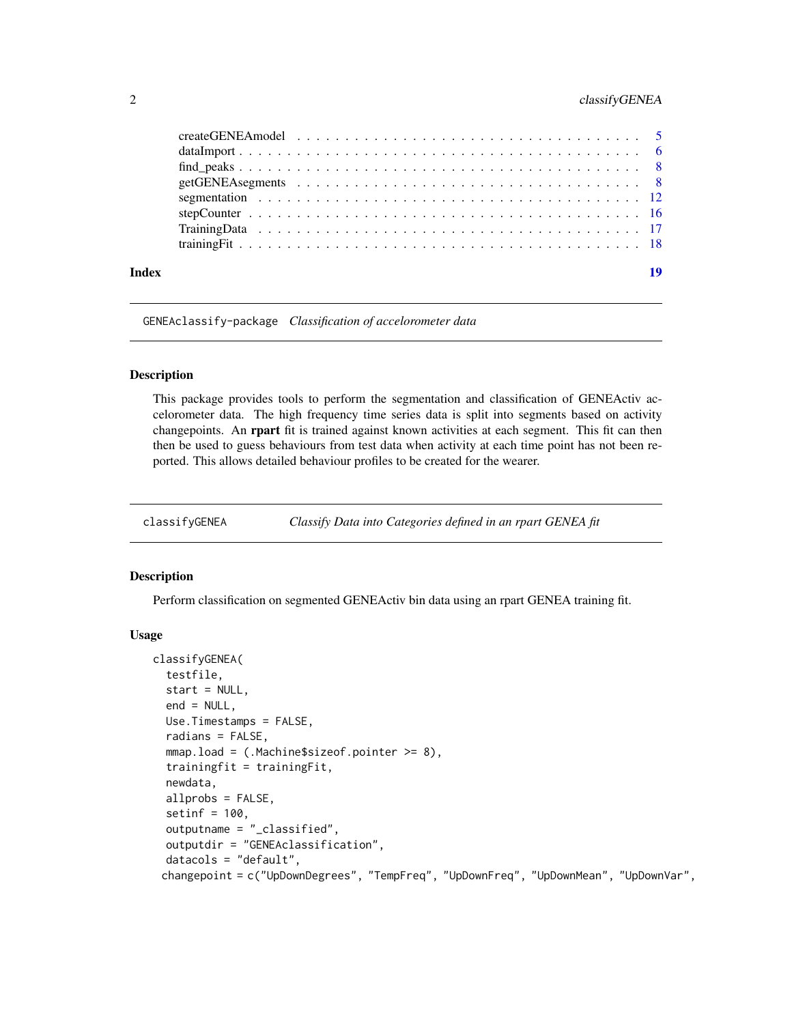#### <span id="page-1-0"></span>2 classifyGENEA

| Index | 19 |
|-------|----|

GENEAclassify-package *Classification of accelorometer data*

#### Description

This package provides tools to perform the segmentation and classification of GENEActiv accelorometer data. The high frequency time series data is split into segments based on activity changepoints. An rpart fit is trained against known activities at each segment. This fit can then then be used to guess behaviours from test data when activity at each time point has not been reported. This allows detailed behaviour profiles to be created for the wearer.

<span id="page-1-1"></span>classifyGENEA *Classify Data into Categories defined in an rpart GENEA fit*

#### Description

Perform classification on segmented GENEActiv bin data using an rpart GENEA training fit.

#### Usage

```
classifyGENEA(
  testfile,
  start = NULL,
  end = NULL,Use.Timestamps = FALSE,
  radians = FALSE,
 mmap.load = (.Machine$sizeof.pointer >= 8),
  trainingfit = trainingFit,
  newdata,
  allprobs = FALSE,
  setinf = 100.
  outputname = "_classified",
  outputdir = "GENEAclassification",
  datacols = "default",
 changepoint = c("UpDownDegrees", "TempFreq", "UpDownFreq", "UpDownMean", "UpDownVar",
```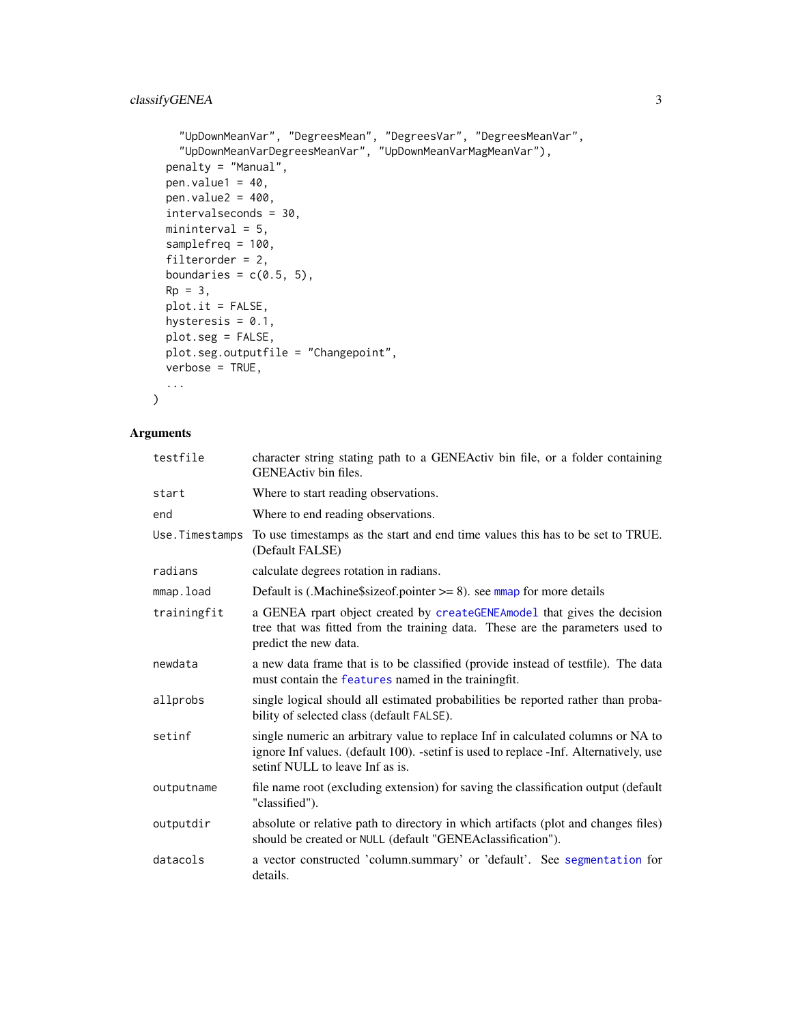```
"UpDownMeanVar", "DegreesMean", "DegreesVar", "DegreesMeanVar",
  "UpDownMeanVarDegreesMeanVar", "UpDownMeanVarMagMeanVar"),
penalty = "Manual",
pen.value1 = 40,
pen.value2 = 400,
intervalseconds = 30,
mininterval = 5,
samplefreq = 100,
filterorder = 2,
boundaries = c(0.5, 5),
Rp = 3,plot.it = FALSE,hysteresis = 0.1,
plot.seg = FALSE,
plot.seg.outputfile = "Changepoint",
verbose = TRUE,
...
```
#### Arguments

 $\mathcal{L}$ 

| testfile       | character string stating path to a GENEActiv bin file, or a folder containing<br><b>GENEActiv</b> bin files.                                                                                                |
|----------------|-------------------------------------------------------------------------------------------------------------------------------------------------------------------------------------------------------------|
| start          | Where to start reading observations.                                                                                                                                                                        |
| end            | Where to end reading observations.                                                                                                                                                                          |
| Use.Timestamps | To use timestamps as the start and end time values this has to be set to TRUE.<br>(Default FALSE)                                                                                                           |
| radians        | calculate degrees rotation in radians.                                                                                                                                                                      |
| mmap.load      | Default is (.Machine \$size of pointer $\geq$ 8). see mmap for more details                                                                                                                                 |
| trainingfit    | a GENEA rpart object created by createGENEAmodel that gives the decision<br>tree that was fitted from the training data. These are the parameters used to<br>predict the new data.                          |
| newdata        | a new data frame that is to be classified (provide instead of testfile). The data<br>must contain the features named in the trainingfit.                                                                    |
| allprobs       | single logical should all estimated probabilities be reported rather than proba-<br>bility of selected class (default FALSE).                                                                               |
| setinf         | single numeric an arbitrary value to replace Inf in calculated columns or NA to<br>ignore Inf values. (default 100). -setinf is used to replace -Inf. Alternatively, use<br>setinf NULL to leave Inf as is. |
| outputname     | file name root (excluding extension) for saving the classification output (default<br>"classified").                                                                                                        |
| outputdir      | absolute or relative path to directory in which artifacts (plot and changes files)<br>should be created or NULL (default "GENEAclassification").                                                            |
| datacols       | a vector constructed 'column.summary' or 'default'. See segmentation for<br>details.                                                                                                                        |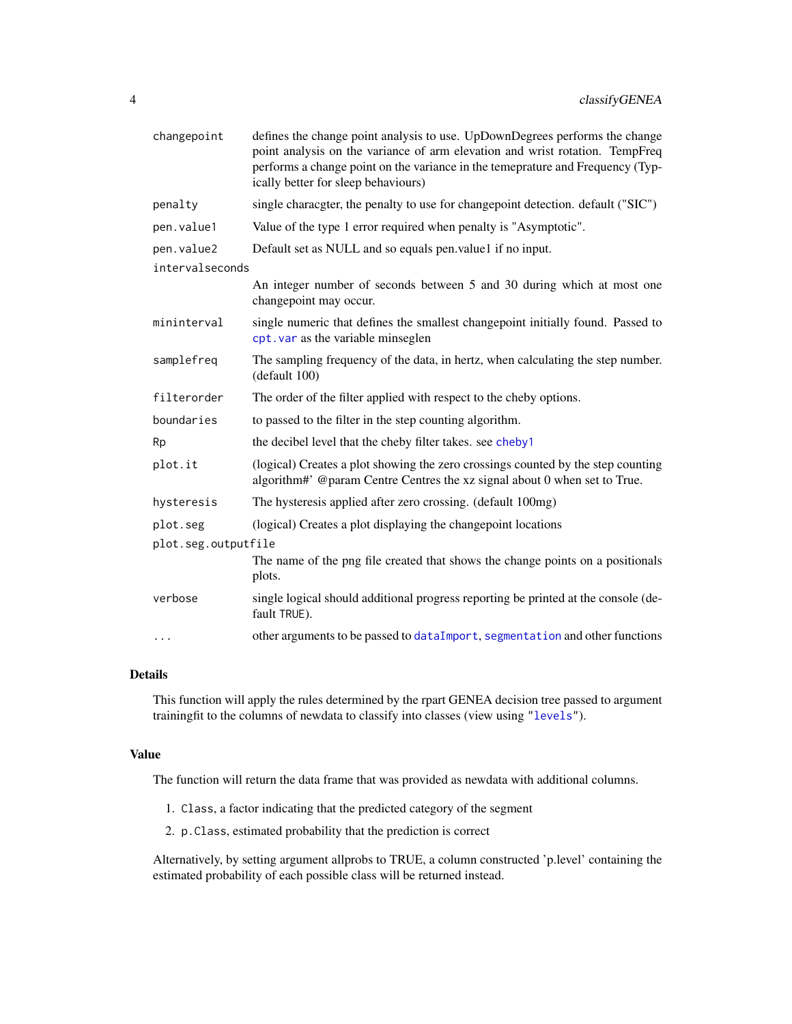<span id="page-3-0"></span>

| changepoint         | defines the change point analysis to use. UpDownDegrees performs the change<br>point analysis on the variance of arm elevation and wrist rotation. TempFreq<br>performs a change point on the variance in the temeprature and Frequency (Typ-<br>ically better for sleep behaviours) |
|---------------------|--------------------------------------------------------------------------------------------------------------------------------------------------------------------------------------------------------------------------------------------------------------------------------------|
| penalty             | single characgter, the penalty to use for changepoint detection. default ("SIC")                                                                                                                                                                                                     |
| pen.value1          | Value of the type 1 error required when penalty is "Asymptotic".                                                                                                                                                                                                                     |
| pen.value2          | Default set as NULL and so equals pen.value1 if no input.                                                                                                                                                                                                                            |
| intervalseconds     |                                                                                                                                                                                                                                                                                      |
|                     | An integer number of seconds between 5 and 30 during which at most one<br>changepoint may occur.                                                                                                                                                                                     |
| mininterval         | single numeric that defines the smallest changepoint initially found. Passed to<br>cpt. var as the variable minseglen                                                                                                                                                                |
| samplefreq          | The sampling frequency of the data, in hertz, when calculating the step number.<br>(detault 100)                                                                                                                                                                                     |
| filterorder         | The order of the filter applied with respect to the cheby options.                                                                                                                                                                                                                   |
| boundaries          | to passed to the filter in the step counting algorithm.                                                                                                                                                                                                                              |
| Rp                  | the decibel level that the cheby filter takes. see cheby1                                                                                                                                                                                                                            |
| plot.it             | (logical) Creates a plot showing the zero crossings counted by the step counting<br>algorithm#' @param Centre Centres the xz signal about 0 when set to True.                                                                                                                        |
| hysteresis          | The hysteresis applied after zero crossing. (default 100mg)                                                                                                                                                                                                                          |
| plot.seg            | (logical) Creates a plot displaying the changepoint locations                                                                                                                                                                                                                        |
| plot.seg.outputfile |                                                                                                                                                                                                                                                                                      |
|                     | The name of the png file created that shows the change points on a positionals<br>plots.                                                                                                                                                                                             |
| verbose             | single logical should additional progress reporting be printed at the console (de-<br>fault TRUE).                                                                                                                                                                                   |
| .                   | other arguments to be passed to dataImport, segmentation and other functions                                                                                                                                                                                                         |

#### Details

This function will apply the rules determined by the rpart GENEA decision tree passed to argument trainingfit to the columns of newdata to classify into classes (view using ["levels"](#page-0-0)).

#### Value

The function will return the data frame that was provided as newdata with additional columns.

- 1. Class, a factor indicating that the predicted category of the segment
- 2. p.Class, estimated probability that the prediction is correct

Alternatively, by setting argument allprobs to TRUE, a column constructed 'p.level' containing the estimated probability of each possible class will be returned instead.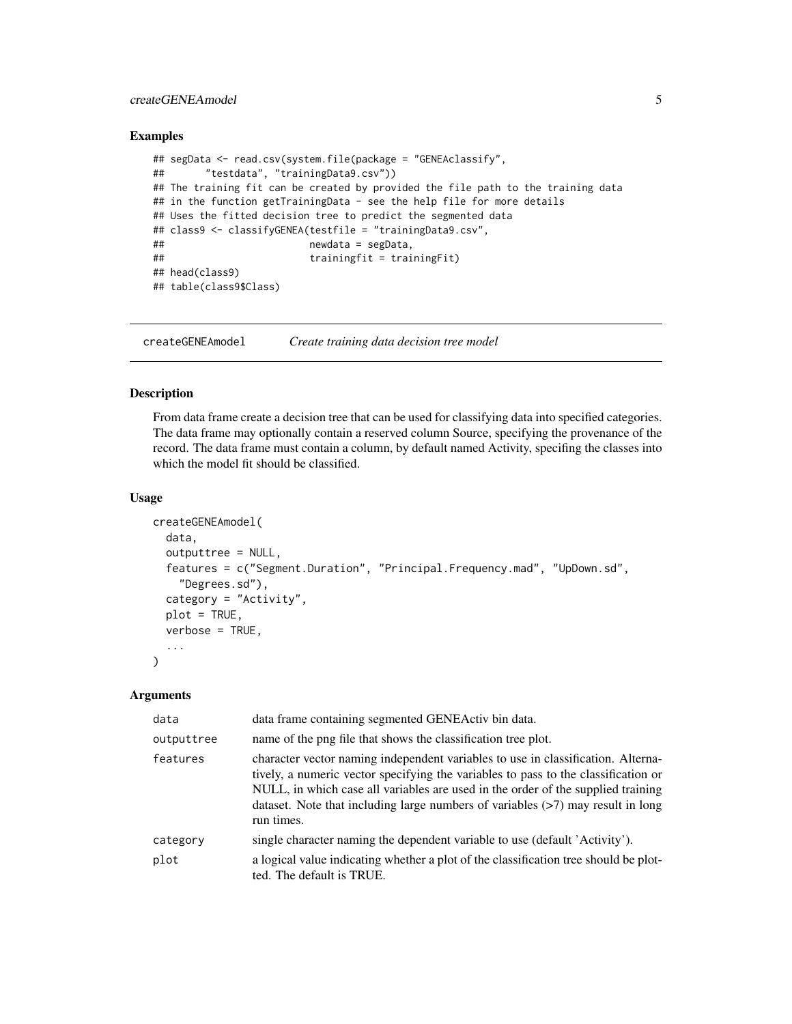#### <span id="page-4-0"></span>createGENEAmodel 5

#### Examples

```
## segData <- read.csv(system.file(package = "GENEAclassify",
## "testdata", "trainingData9.csv"))
## The training fit can be created by provided the file path to the training data
## in the function getTrainingData - see the help file for more details
## Uses the fitted decision tree to predict the segmented data
## class9 <- classifyGENEA(testfile = "trainingData9.csv",
## newdata = segData,
## trainingfit = trainingFit)
## head(class9)
## table(class9$Class)
```
<span id="page-4-1"></span>createGENEAmodel *Create training data decision tree model*

#### Description

From data frame create a decision tree that can be used for classifying data into specified categories. The data frame may optionally contain a reserved column Source, specifying the provenance of the record. The data frame must contain a column, by default named Activity, specifing the classes into which the model fit should be classified.

#### Usage

```
createGENEAmodel(
  data,
  outputtree = NULL,
  features = c("Segment.Duration", "Principal.Frequency.mad", "UpDown.sd",
    "Degrees.sd"),
  category = "Activity",
  plot = TRUE,
  verbose = TRUE,
  ...
)
```
#### Arguments

| data       | data frame containing segmented GENEActiv bin data.                                                                                                                                                                                                                                                                                                               |
|------------|-------------------------------------------------------------------------------------------------------------------------------------------------------------------------------------------------------------------------------------------------------------------------------------------------------------------------------------------------------------------|
| outputtree | name of the png file that shows the classification tree plot.                                                                                                                                                                                                                                                                                                     |
| features   | character vector naming independent variables to use in classification. Alterna-<br>tively, a numeric vector specifying the variables to pass to the classification or<br>NULL, in which case all variables are used in the order of the supplied training<br>dataset. Note that including large numbers of variables $($ >7 $)$ may result in long<br>run times. |
| category   | single character naming the dependent variable to use (default 'Activity').                                                                                                                                                                                                                                                                                       |
| plot       | a logical value indicating whether a plot of the classification tree should be plot-<br>ted. The default is TRUE.                                                                                                                                                                                                                                                 |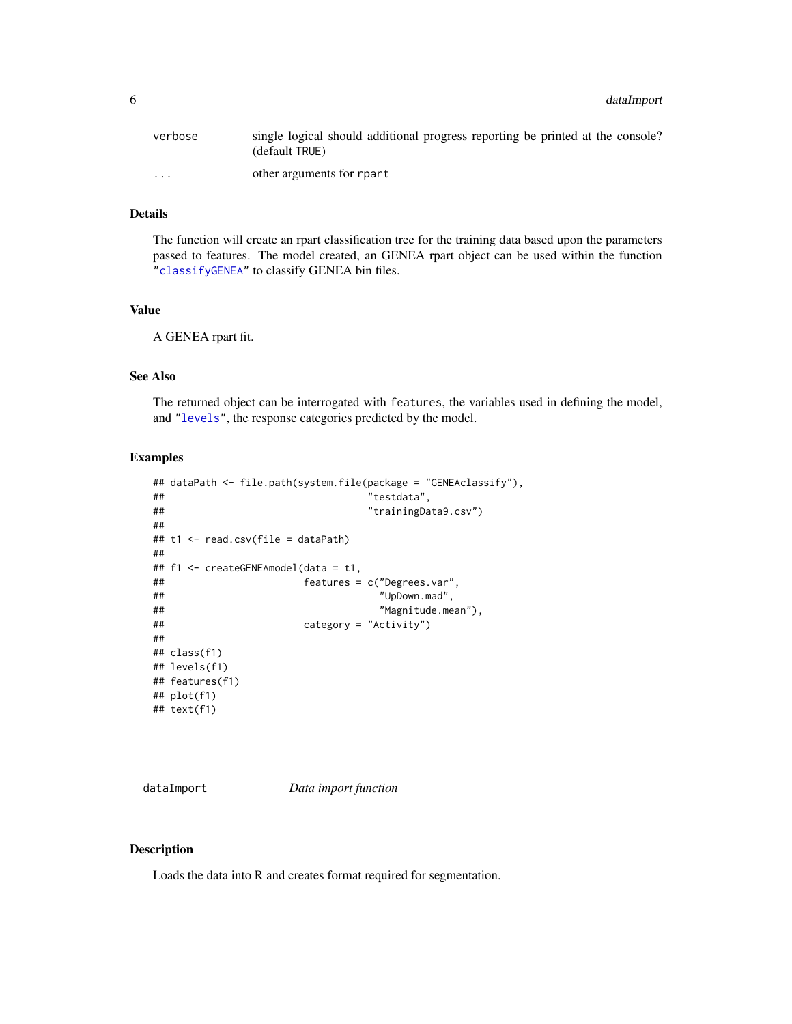<span id="page-5-0"></span>

| verbose              | single logical should additional progress reporting be printed at the console?<br>(default TRUE) |
|----------------------|--------------------------------------------------------------------------------------------------|
| $\ddot{\phantom{0}}$ | other arguments for rpart                                                                        |

#### Details

The function will create an rpart classification tree for the training data based upon the parameters passed to features. The model created, an GENEA rpart object can be used within the function ["classifyGENEA"](#page-1-1) to classify GENEA bin files.

#### Value

A GENEA rpart fit.

#### See Also

The returned object can be interrogated with features, the variables used in defining the model, and ["levels"](#page-0-0), the response categories predicted by the model.

#### Examples

```
## dataPath <- file.path(system.file(package = "GENEAclassify"),
## "testdata",
## "trainingData9.csv")
##
## t1 <- read.csv(file = dataPath)
##
## f1 <- createGENEAmodel(data = t1,
## features = c("Degrees.var",
## "UpDown.mad",
## "Magnitude.mean"),
## category = "Activity")
##
## class(f1)
## levels(f1)
## features(f1)
## plot(f1)
## text(f1)
```
<span id="page-5-1"></span>dataImport *Data import function*

#### Description

Loads the data into R and creates format required for segmentation.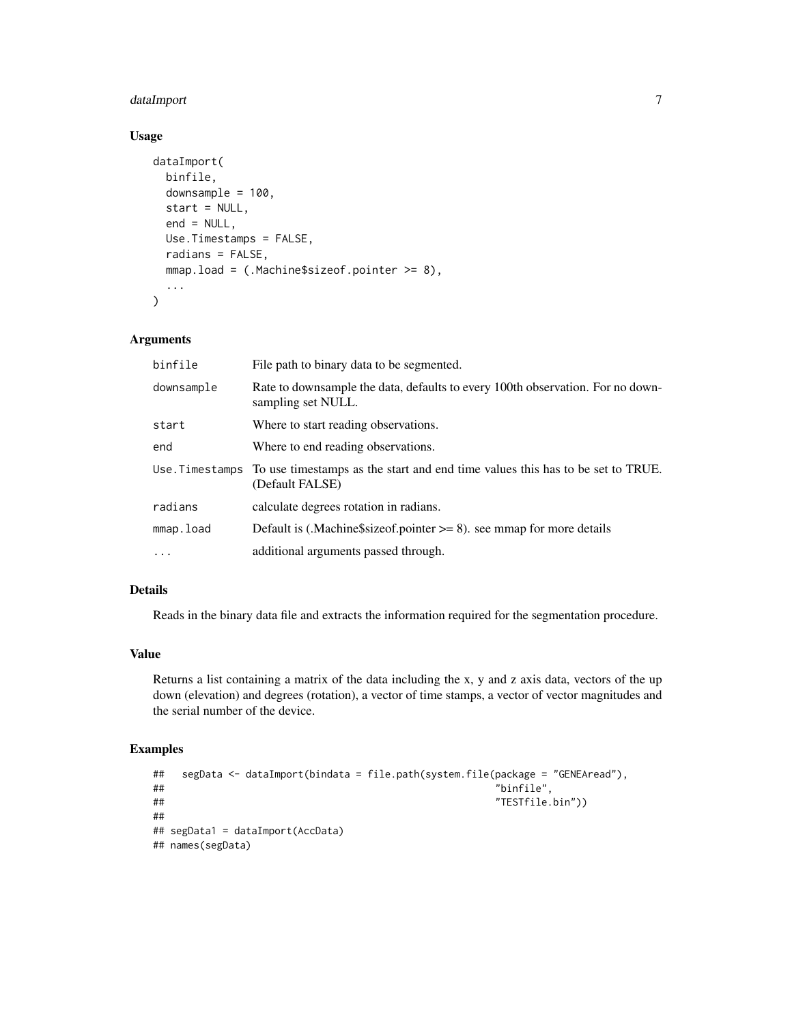#### dataImport 7

#### Usage

```
dataImport(
  binfile,
  downsample = 100,
  start = NULL,end = NULL,Use.Timestamps = FALSE,
  radians = FALSE,
  mmap.load = (.Machine$sizeof.pointer >= 8),
  ...
\mathcal{L}
```
#### Arguments

| binfile    | File path to binary data to be segmented.                                                                         |
|------------|-------------------------------------------------------------------------------------------------------------------|
| downsample | Rate to downsample the data, defaults to every 100th observation. For no down-<br>sampling set NULL.              |
| start      | Where to start reading observations.                                                                              |
| end        | Where to end reading observations.                                                                                |
|            | Use. Timestamps To use timestamps as the start and end time values this has to be set to TRUE.<br>(Default FALSE) |
| radians    | calculate degrees rotation in radians.                                                                            |
| mmap.load  | Default is (.Machine $\frac{2}{3}$ size of pointer $\geq$ 8). see mmap for more details                           |
| $\ddots$   | additional arguments passed through.                                                                              |

#### Details

Reads in the binary data file and extracts the information required for the segmentation procedure.

#### Value

Returns a list containing a matrix of the data including the x, y and z axis data, vectors of the up down (elevation) and degrees (rotation), a vector of time stamps, a vector of vector magnitudes and the serial number of the device.

#### Examples

```
## segData <- dataImport(bindata = file.path(system.file(package = "GENEAread"),
## "binfile",
## "TESTfile.bin"))
##
## segData1 = dataImport(AccData)
## names(segData)
```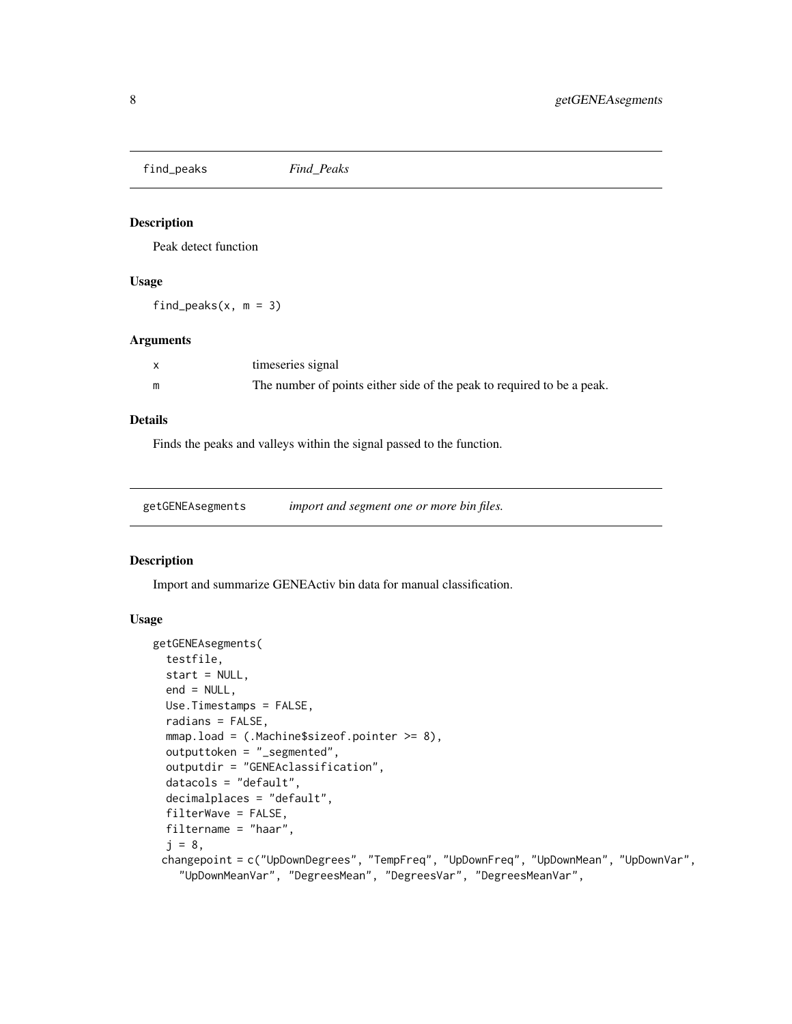<span id="page-7-0"></span>find\_peaks *Find\_Peaks*

#### Description

Peak detect function

#### Usage

find\_peaks( $x, m = 3$ )

#### Arguments

| timeseries signal                                                      |
|------------------------------------------------------------------------|
| The number of points either side of the peak to required to be a peak. |

#### Details

Finds the peaks and valleys within the signal passed to the function.

| getGENEAsegments | import and segment one or more bin files. |  |
|------------------|-------------------------------------------|--|
|                  |                                           |  |

#### Description

Import and summarize GENEActiv bin data for manual classification.

#### Usage

```
getGENEAsegments(
  testfile,
  start = NULL,
  end = NULL,Use.Timestamps = FALSE,
  radians = FALSE,
  mmap.load = (.Machine$sizeof.pointer >= 8),
  outputtoken = "_segmented",
  outputdir = "GENEAclassification",
  datacols = "default",
  decimalplaces = "default",
  filterWave = FALSE,
  filtername = "haar",
  j = 8,changepoint = c("UpDownDegrees", "TempFreq", "UpDownFreq", "UpDownMean", "UpDownVar",
    "UpDownMeanVar", "DegreesMean", "DegreesVar", "DegreesMeanVar",
```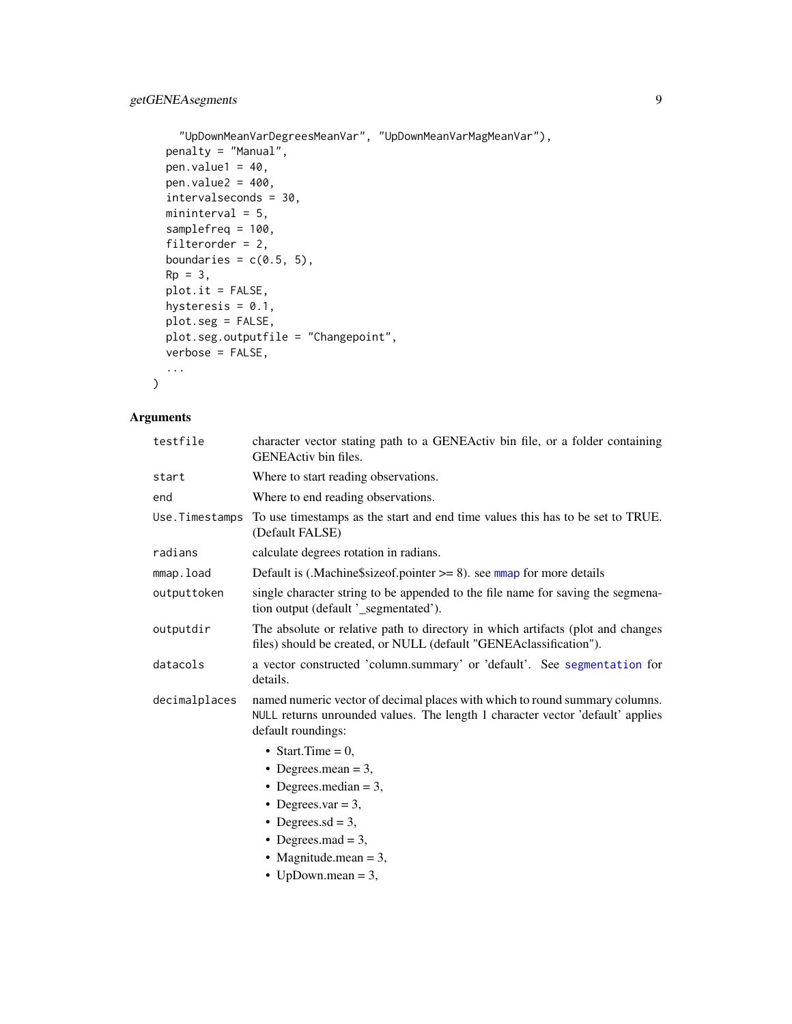```
"UpDownMeanVarDegreesMeanVar", "UpDownMeanVarMagMeanVar"),
penalty = "Manual",
pen.value1 = 40,
pen.value2 = 400,
intervalseconds = 30,
mininterval = 5,
samplefreq = 100,
filterorder = 2,
boundaries = c(0.5, 5),
Rp = 3,plot.it = FALSE,hysteresis = 0.1,
plot.seg = FALSE,
plot.seg.outputfile = "Changepoint",
verbose = FALSE,
...
```
#### Arguments

 $\mathcal{L}$ 

| testfile       | character vector stating path to a GENEActiv bin file, or a folder containing<br>GENEActiv bin files.                                                                               |
|----------------|-------------------------------------------------------------------------------------------------------------------------------------------------------------------------------------|
| start          | Where to start reading observations.                                                                                                                                                |
| end            | Where to end reading observations.                                                                                                                                                  |
| Use.Timestamps | To use timestamps as the start and end time values this has to be set to TRUE.<br>(Default FALSE)                                                                                   |
| radians        | calculate degrees rotation in radians.                                                                                                                                              |
| mmap.load      | Default is (.Machine\$sizeof.pointer $\geq$ = 8). see mmap for more details                                                                                                         |
| outputtoken    | single character string to be appended to the file name for saving the segmena-<br>tion output (default '_segmentated').                                                            |
| outputdir      | The absolute or relative path to directory in which artifacts (plot and changes<br>files) should be created, or NULL (default "GENEAclassification").                               |
| datacols       | a vector constructed 'column.summary' or 'default'. See segmentation for<br>details.                                                                                                |
| decimalplaces  | named numeric vector of decimal places with which to round summary columns.<br>NULL returns unrounded values. The length 1 character vector 'default' applies<br>default roundings: |
|                | • Start.Time = $0$ ,                                                                                                                                                                |
|                | • Degrees.mean = $3$ ,                                                                                                                                                              |
|                | • Degrees.median $=$ 3,                                                                                                                                                             |
|                | • Degrees.var = 3,                                                                                                                                                                  |
|                | • Degrees.sd = 3,                                                                                                                                                                   |
|                | • Degrees.mad = $3$ ,                                                                                                                                                               |
|                | • Magnitude.mean $= 3$ ,                                                                                                                                                            |
|                | • UpDown.mean = $3$ ,                                                                                                                                                               |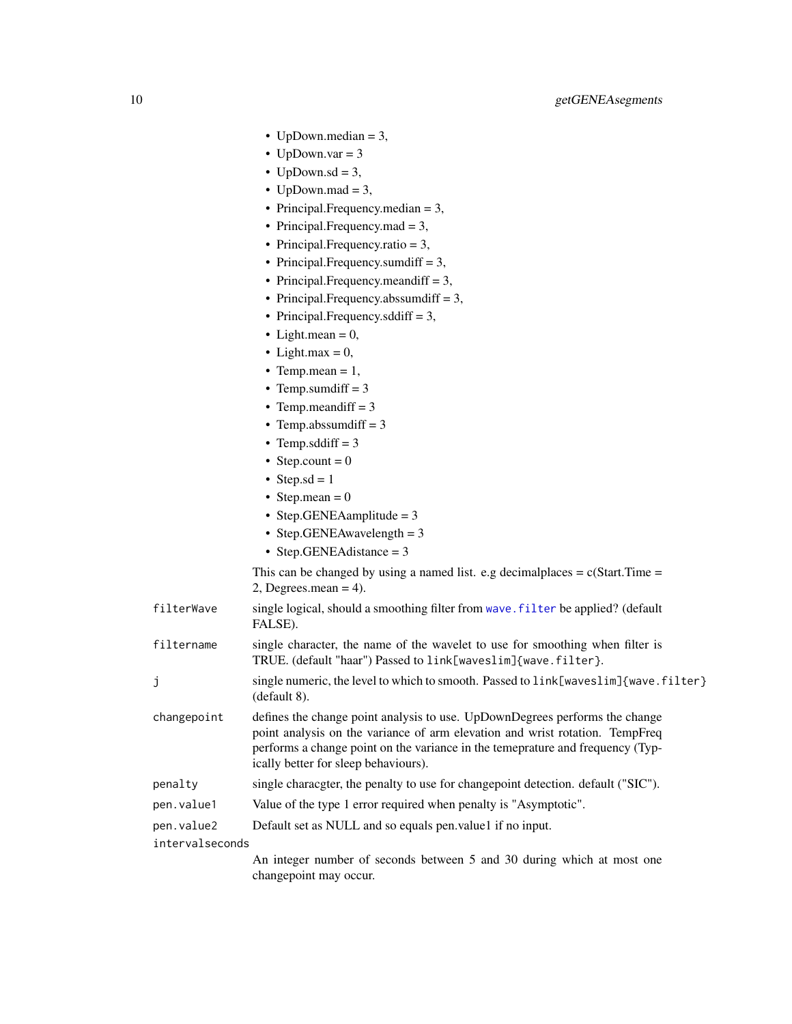- <span id="page-9-0"></span>• UpDown.median = 3,
- UpDown.var  $= 3$
- UpDown.sd =  $3$ ,
- UpDown.mad =  $3$ ,
- Principal.Frequency.median = 3,
- Principal.Frequency.mad = 3,
- Principal.Frequency.ratio = 3,
- Principal.Frequency.sumdiff = 3,
- Principal.Frequency.meandiff = 3,
- Principal.Frequency.abssumdiff = 3,
- Principal.Frequency.sddiff = 3,
- Light.mean =  $0$ ,
- Light.max =  $0$ ,
- Temp.mean  $= 1$ ,
- Temp.sumdiff  $= 3$
- Temp.meandiff  $= 3$
- Temp.abssumdiff  $= 3$
- Temp.sddiff  $= 3$
- Step.count =  $0$
- Step.sd =  $1$
- Step.mean =  $0$
- Step.GENEAamplitude = 3
- Step.GENEAwavelength = 3
- Step.GENEAdistance = 3

This can be changed by using a named list. e.g decimal places  $= c(Start Time =$  $2$ , Degrees.mean = 4).

filterWave single logical, should a smoothing filter from [wave.filter](#page-0-0) be applied? (default FALSE).

filtername single character, the name of the wavelet to use for smoothing when filter is TRUE. (default "haar") Passed to link[waveslim]{wave.filter}.

j single numeric, the level to which to smooth. Passed to link[waveslim]{wave.filter} (default 8).

- changepoint defines the change point analysis to use. UpDownDegrees performs the change point analysis on the variance of arm elevation and wrist rotation. TempFreq performs a change point on the variance in the temeprature and frequency (Typically better for sleep behaviours).
- penalty single characgter, the penalty to use for changepoint detection. default ("SIC").
- pen.value1 Value of the type 1 error required when penalty is "Asymptotic".
- pen.value2 Default set as NULL and so equals pen.value1 if no input.

intervalseconds

An integer number of seconds between 5 and 30 during which at most one changepoint may occur.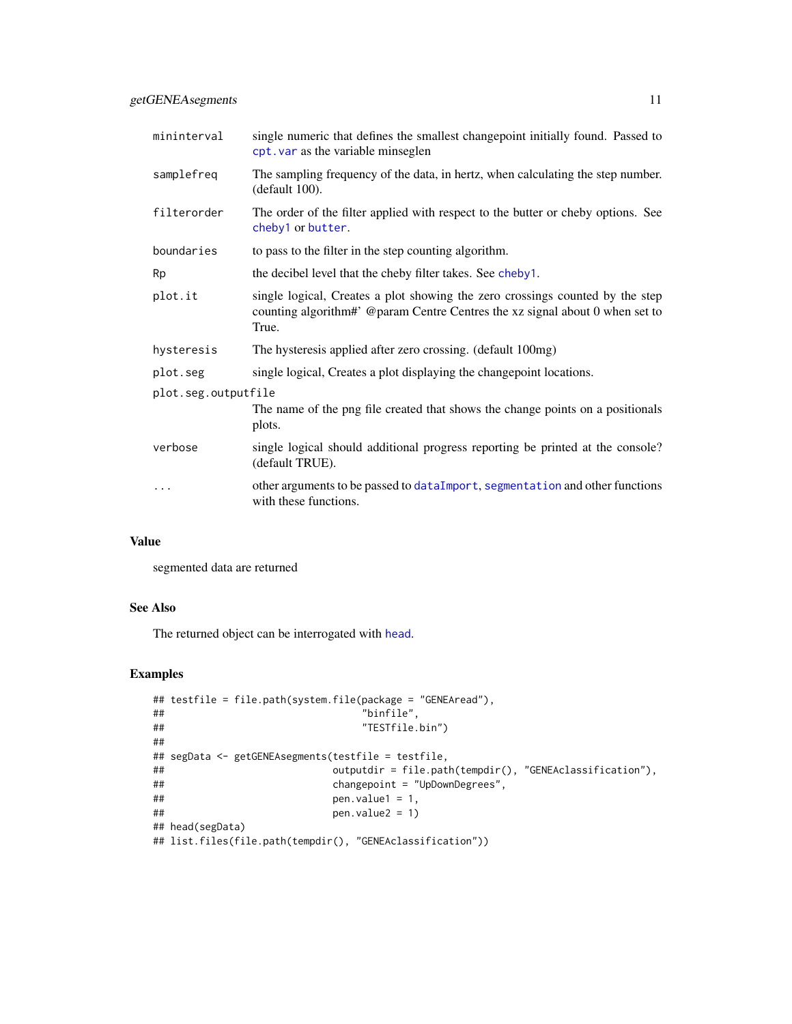<span id="page-10-0"></span>

| mininterval         | single numeric that defines the smallest changepoint initially found. Passed to<br>cpt. var as the variable minseglen                                                  |
|---------------------|------------------------------------------------------------------------------------------------------------------------------------------------------------------------|
| samplefreq          | The sampling frequency of the data, in hertz, when calculating the step number.<br>(default 100).                                                                      |
| filterorder         | The order of the filter applied with respect to the butter or cheby options. See<br>cheby1 or butter.                                                                  |
| boundaries          | to pass to the filter in the step counting algorithm.                                                                                                                  |
| Rp                  | the decibel level that the cheby filter takes. See cheby1.                                                                                                             |
| plot.it             | single logical, Creates a plot showing the zero crossings counted by the step<br>counting algorithm#' @param Centre Centres the xz signal about 0 when set to<br>True. |
| hysteresis          | The hysteresis applied after zero crossing. (default 100mg)                                                                                                            |
| plot.seg            | single logical, Creates a plot displaying the changepoint locations.                                                                                                   |
| plot.seg.outputfile |                                                                                                                                                                        |
|                     | The name of the png file created that shows the change points on a positionals<br>plots.                                                                               |
| verbose             | single logical should additional progress reporting be printed at the console?<br>(default TRUE).                                                                      |
| .                   | other arguments to be passed to data Import, segmentation and other functions<br>with these functions.                                                                 |

#### Value

segmented data are returned

#### See Also

The returned object can be interrogated with [head](#page-0-0).

### Examples

```
## testfile = file.path(system.file(package = "GENEAread"),
## "binfile",
## "TESTfile.bin")
##
## segData <- getGENEAsegments(testfile = testfile,
## outputdir = file.path(tempdir(), "GENEAclassification"),
## changepoint = "UpDownDegrees",
\# # pen.value1 = 1,
## pen.value2 = 1)
## head(segData)
## list.files(file.path(tempdir(), "GENEAclassification"))
```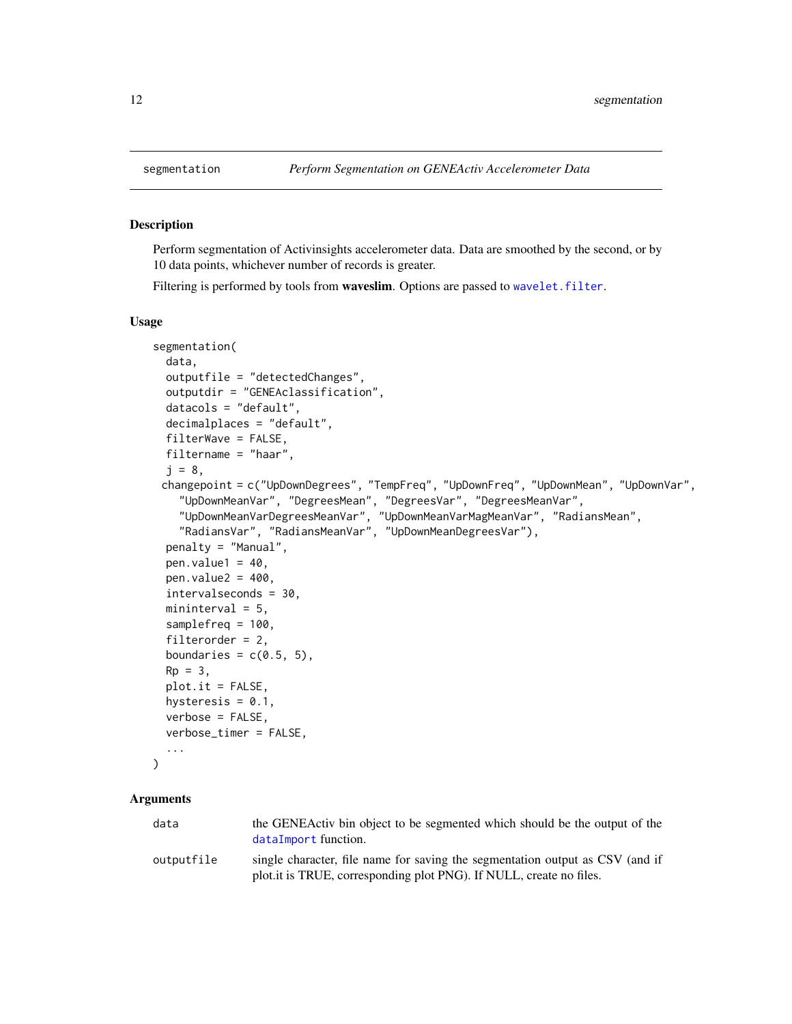<span id="page-11-1"></span><span id="page-11-0"></span>

#### Description

Perform segmentation of Activinsights accelerometer data. Data are smoothed by the second, or by 10 data points, whichever number of records is greater.

Filtering is performed by tools from **waveslim**. Options are passed to wavelet. filter.

#### Usage

```
segmentation(
  data,
  outputfile = "detectedChanges",
  outputdir = "GENEAclassification",
  datacols = "default",
  decimalplaces = "default",
  filterWave = FALSE,
  filtername = "haar",
  j = 8,changepoint = c("UpDownDegrees", "TempFreq", "UpDownFreq", "UpDownMean", "UpDownVar",
    "UpDownMeanVar", "DegreesMean", "DegreesVar", "DegreesMeanVar",
    "UpDownMeanVarDegreesMeanVar", "UpDownMeanVarMagMeanVar", "RadiansMean",
    "RadiansVar", "RadiansMeanVar", "UpDownMeanDegreesVar"),
  penalty = "Manual",
  pen.value1 = 40,
 pen.value2 = 400,
  intervalseconds = 30,
 mininterval = 5,
  samplefreq = 100,
  filterorder = 2,
  boundaries = c(0.5, 5),
  Rp = 3,
 plot.it = FALSE,hysteresis = 0.1,
  verbose = FALSE,
  verbose_timer = FALSE,
  ...
)
```
#### Arguments

| data       | the GENEActiv bin object to be segmented which should be the output of the<br>dataImport function.                                                   |
|------------|------------------------------------------------------------------------------------------------------------------------------------------------------|
| outputfile | single character, file name for saving the segmentation output as CSV (and if<br>plot.it is TRUE, corresponding plot PNG). If NULL, create no files. |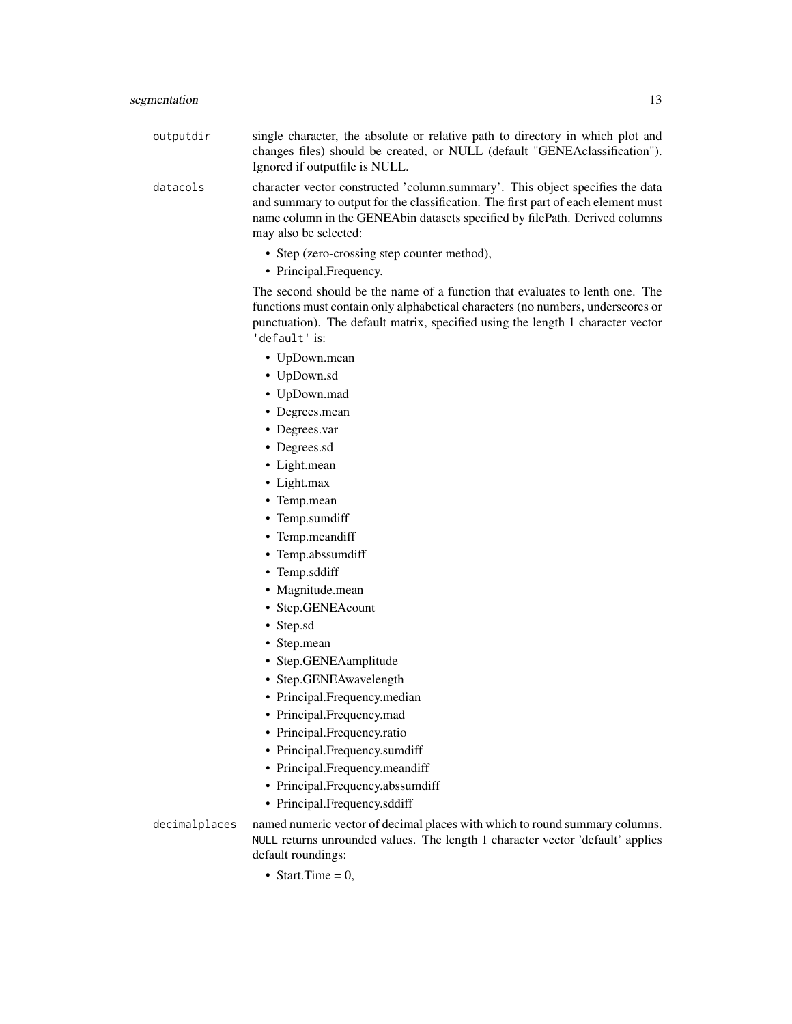outputdir single character, the absolute or relative path to directory in which plot and changes files) should be created, or NULL (default "GENEAclassification"). Ignored if outputfile is NULL.

datacols character vector constructed 'column.summary'. This object specifies the data and summary to output for the classification. The first part of each element must name column in the GENEAbin datasets specified by filePath. Derived columns may also be selected:

- Step (zero-crossing step counter method),
- Principal.Frequency.

The second should be the name of a function that evaluates to lenth one. The functions must contain only alphabetical characters (no numbers, underscores or punctuation). The default matrix, specified using the length 1 character vector 'default' is:

- UpDown.mean
- UpDown.sd
- UpDown.mad
- Degrees.mean
- Degrees.var
- Degrees.sd
- Light.mean
- Light.max
- Temp.mean
- Temp.sumdiff
- Temp.meandiff
- Temp.abssumdiff
- Temp.sddiff
- Magnitude.mean
- Step.GENEAcount
- Step.sd
- Step.mean
- Step.GENEAamplitude
- Step.GENEAwavelength
- Principal.Frequency.median
- Principal.Frequency.mad
- Principal.Frequency.ratio
- Principal.Frequency.sumdiff
- Principal.Frequency.meandiff
- Principal.Frequency.abssumdiff
- Principal.Frequency.sddiff

decimalplaces named numeric vector of decimal places with which to round summary columns. NULL returns unrounded values. The length 1 character vector 'default' applies default roundings:

• Start.Time  $= 0$ ,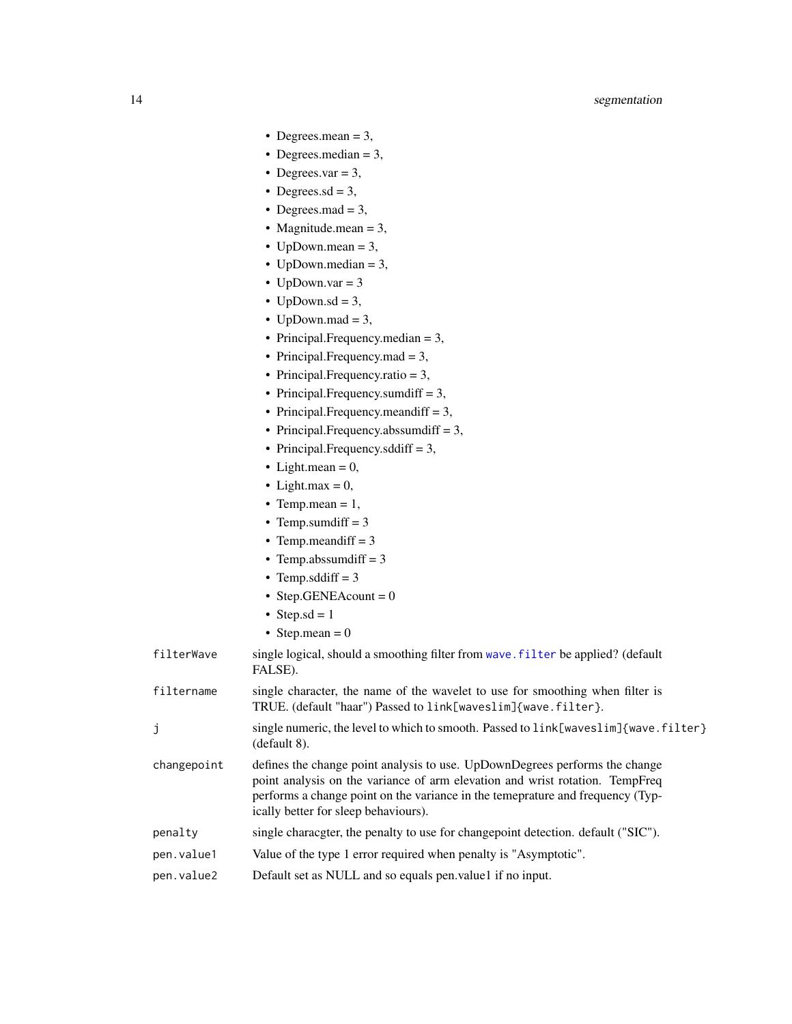- <span id="page-13-0"></span>• Degrees.mean  $= 3$ ,
- Degrees.median = 3,
- Degrees.var  $= 3$ ,
- Degrees.sd =  $3$ ,
- Degrees.mad  $= 3$ ,
- Magnitude.mean  $= 3$ ,
- UpDown.mean  $= 3$ ,
- UpDown.median = 3,
- UpDown.var  $= 3$
- UpDown.sd =  $3$ ,
- UpDown.mad =  $3$ ,
- Principal.Frequency.median = 3,
- Principal.Frequency.mad = 3,
- Principal.Frequency.ratio = 3,
- Principal.Frequency.sumdiff = 3,
- Principal.Frequency.meandiff = 3,
- Principal.Frequency.abssumdiff = 3,
- Principal.Frequency.sddiff = 3,
- Light.mean  $= 0$ ,
- Light.max =  $0$ ,
- Temp.mean =  $1$ ,
- Temp.sumdiff  $= 3$
- Temp.meandiff  $= 3$
- Temp.abssumdiff  $= 3$
- Temp.sddiff  $= 3$
- Step.GENEAcount =  $0$
- Step.sd =  $1$
- Step.mean =  $0$
- filterWave single logical, should a smoothing filter from [wave.filter](#page-0-0) be applied? (default FALSE).
- filtername single character, the name of the wavelet to use for smoothing when filter is TRUE. (default "haar") Passed to link[waveslim]{wave.filter}.
- j single numeric, the level to which to smooth. Passed to link[waveslim]{wave.filter} (default 8).
- changepoint defines the change point analysis to use. UpDownDegrees performs the change point analysis on the variance of arm elevation and wrist rotation. TempFreq performs a change point on the variance in the temeprature and frequency (Typically better for sleep behaviours).
- penalty single characgter, the penalty to use for changepoint detection. default ("SIC").
- pen.value1 Value of the type 1 error required when penalty is "Asymptotic".
- pen.value2 Default set as NULL and so equals pen.value1 if no input.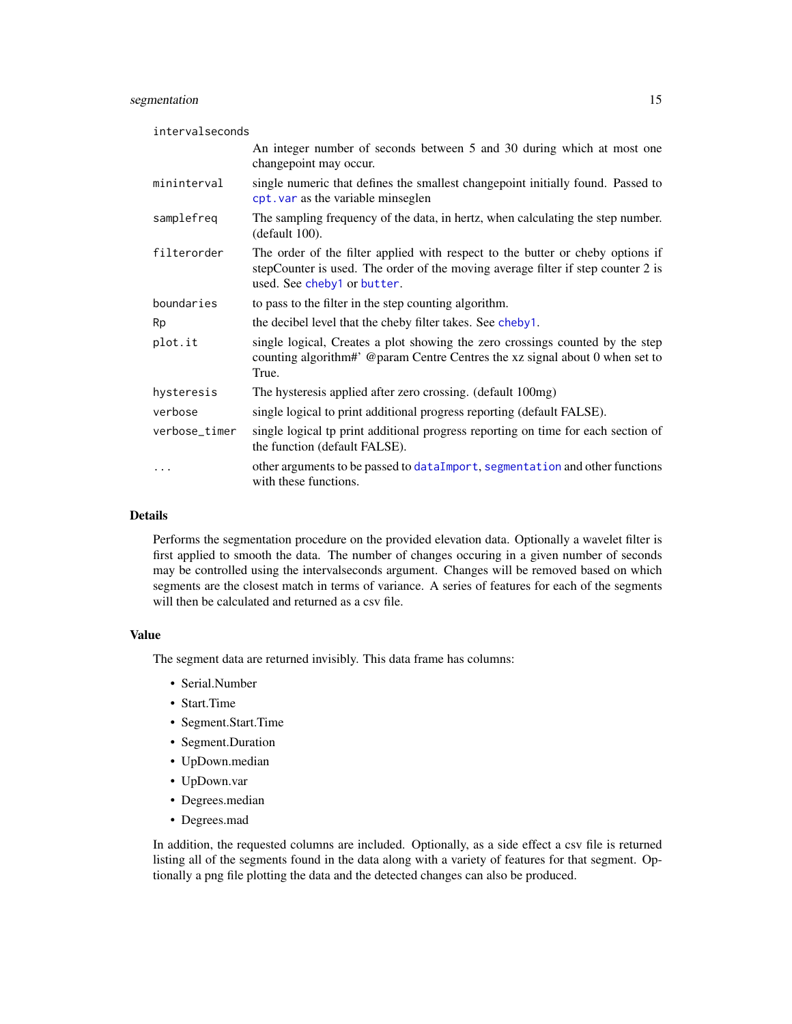#### <span id="page-14-0"></span>segmentation 15

| intervalseconds |                                                                                                                                                                                                   |
|-----------------|---------------------------------------------------------------------------------------------------------------------------------------------------------------------------------------------------|
|                 | An integer number of seconds between 5 and 30 during which at most one<br>changepoint may occur.                                                                                                  |
| mininterval     | single numeric that defines the smallest changepoint initially found. Passed to<br>cpt. var as the variable minseglen                                                                             |
| samplefreq      | The sampling frequency of the data, in hertz, when calculating the step number.<br>(default 100).                                                                                                 |
| filterorder     | The order of the filter applied with respect to the butter or cheby options if<br>stepCounter is used. The order of the moving average filter if step counter 2 is<br>used. See cheby1 or butter. |
| boundaries      | to pass to the filter in the step counting algorithm.                                                                                                                                             |
| Rp              | the decibel level that the cheby filter takes. See cheby1.                                                                                                                                        |
| plot.it         | single logical, Creates a plot showing the zero crossings counted by the step<br>counting algorithm#' @param Centre Centres the xz signal about 0 when set to<br>True.                            |
| hysteresis      | The hysteresis applied after zero crossing. (default 100mg)                                                                                                                                       |
| verbose         | single logical to print additional progress reporting (default FALSE).                                                                                                                            |
| verbose_timer   | single logical tp print additional progress reporting on time for each section of<br>the function (default FALSE).                                                                                |
| $\cdots$        | other arguments to be passed to dataImport, segmentation and other functions<br>with these functions.                                                                                             |

#### Details

Performs the segmentation procedure on the provided elevation data. Optionally a wavelet filter is first applied to smooth the data. The number of changes occuring in a given number of seconds may be controlled using the intervalseconds argument. Changes will be removed based on which segments are the closest match in terms of variance. A series of features for each of the segments will then be calculated and returned as a csv file.

#### Value

The segment data are returned invisibly. This data frame has columns:

- Serial.Number
- Start.Time
- Segment.Start.Time
- Segment.Duration
- UpDown.median
- UpDown.var
- Degrees.median
- Degrees.mad

In addition, the requested columns are included. Optionally, as a side effect a csv file is returned listing all of the segments found in the data along with a variety of features for that segment. Optionally a png file plotting the data and the detected changes can also be produced.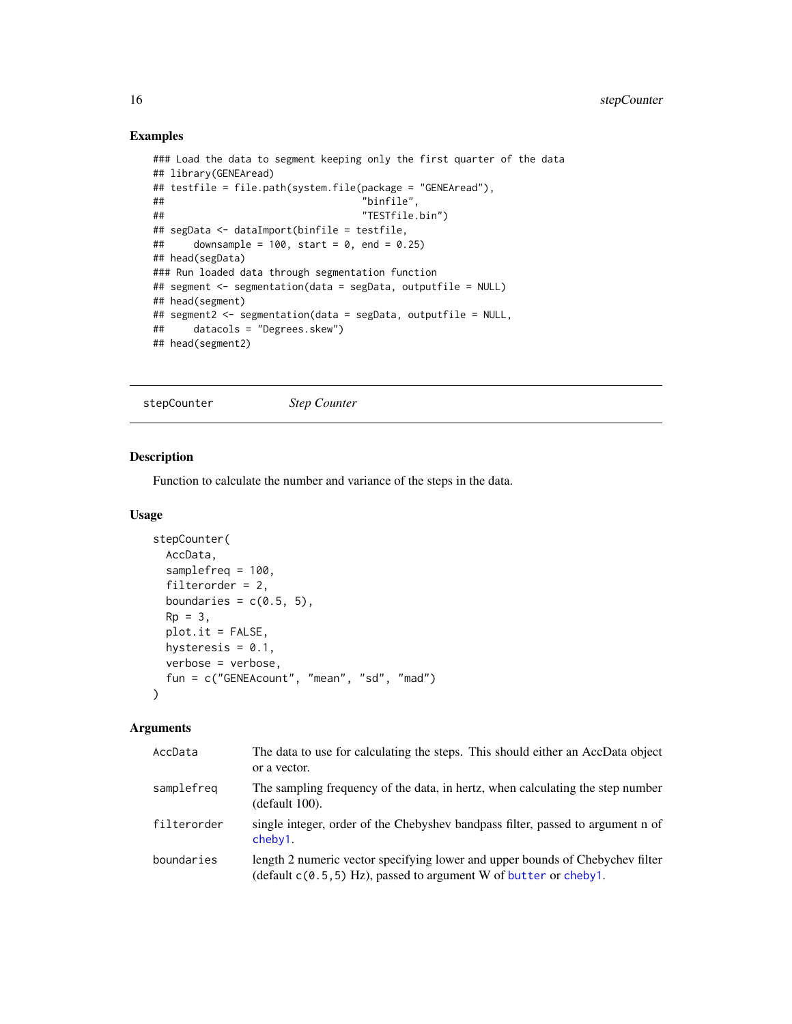#### Examples

```
### Load the data to segment keeping only the first quarter of the data
## library(GENEAread)
## testfile = file.path(system.file(package = "GENEAread"),
## "binfile",
## "TESTfile.bin")
## segData <- dataImport(binfile = testfile,
## downsample = 100, start = 0, end = 0.25)
## head(segData)
### Run loaded data through segmentation function
## segment <- segmentation(data = segData, outputfile = NULL)
## head(segment)
## segment2 <- segmentation(data = segData, outputfile = NULL,
## datacols = "Degrees.skew")
## head(segment2)
```
stepCounter *Step Counter*

#### Description

Function to calculate the number and variance of the steps in the data.

#### Usage

```
stepCounter(
 AccData,
  samplefreq = 100,
  filterorder = 2,
 boundaries = c(0.5, 5),
 Rp = 3,plot.it = FALSE,
 hysteresis = 0.1,
 verbose = verbose,
 fun = c("GENEAcount", "mean", "sd", "mad")
\mathcal{L}
```
#### Arguments

| AccData     | The data to use for calculating the steps. This should either an AccData object<br>or a vector.                                                        |
|-------------|--------------------------------------------------------------------------------------------------------------------------------------------------------|
| samplefreg  | The sampling frequency of the data, in hertz, when calculating the step number<br>$(detault 100)$ .                                                    |
| filterorder | single integer, order of the Chebyshev bandpass filter, passed to argument n of<br>cheby1.                                                             |
| boundaries  | length 2 numeric vector specifying lower and upper bounds of Chebychev filter<br>$(default c(0.5, 5) Hz)$ , passed to argument W of butter or cheby 1. |

<span id="page-15-0"></span>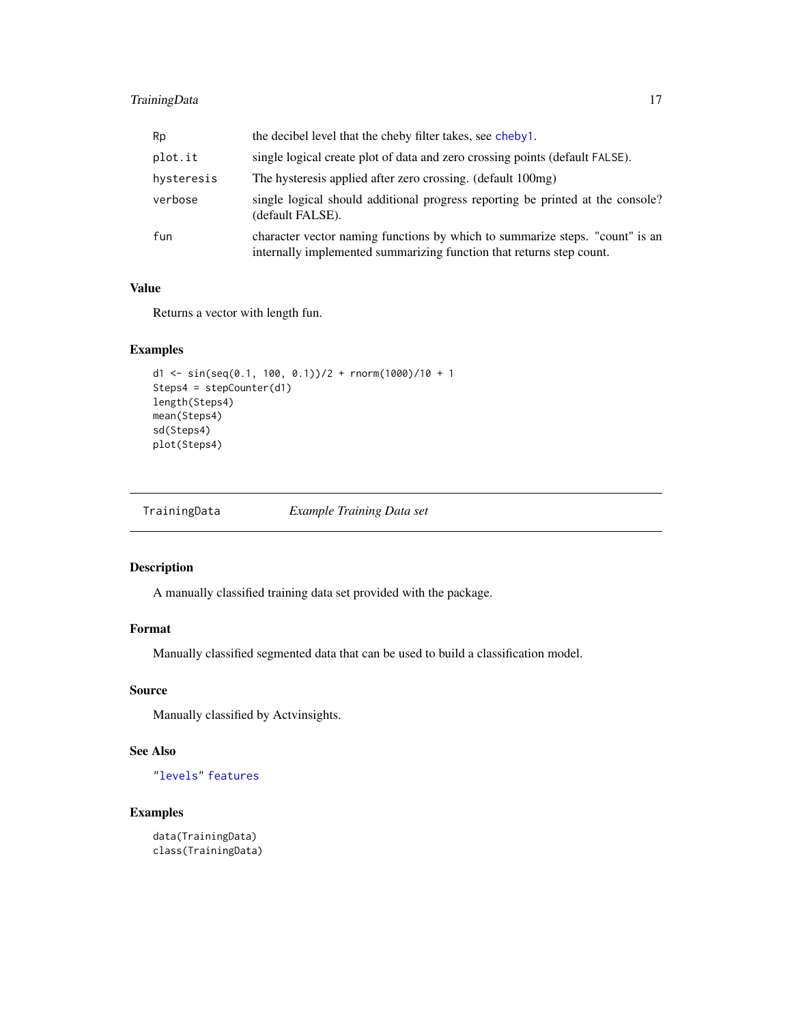#### <span id="page-16-0"></span>TrainingData 17

| Rp         | the decibel level that the cheby filter takes, see cheby 1.                                                                                          |
|------------|------------------------------------------------------------------------------------------------------------------------------------------------------|
| plot.it    | single logical create plot of data and zero crossing points (default FALSE).                                                                         |
| hysteresis | The hysteresis applied after zero crossing. (default 100mg)                                                                                          |
| verbose    | single logical should additional progress reporting be printed at the console?<br>(default FALSE).                                                   |
| fun        | character vector naming functions by which to summarize steps. "count" is an<br>internally implemented summarizing function that returns step count. |

#### Value

Returns a vector with length fun.

#### Examples

```
d1 <- sin(seq(0.1, 100, 0.1))/2 + rnorm(1000)/10 + 1
Steps4 = stepCounter(d1)
length(Steps4)
mean(Steps4)
sd(Steps4)
plot(Steps4)
```
TrainingData *Example Training Data set*

#### Description

A manually classified training data set provided with the package.

#### Format

Manually classified segmented data that can be used to build a classification model.

#### Source

Manually classified by Actvinsights.

#### See Also

["levels"](#page-0-0) [features](#page-0-0)

#### Examples

data(TrainingData) class(TrainingData)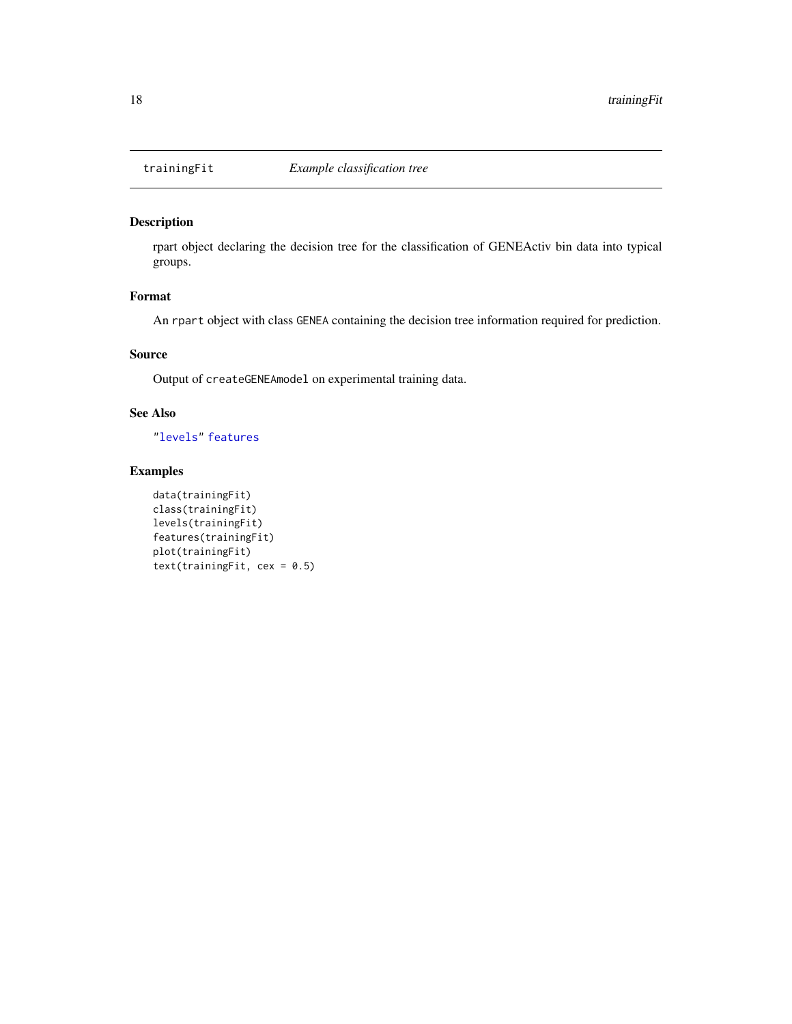<span id="page-17-0"></span>

#### Description

rpart object declaring the decision tree for the classification of GENEActiv bin data into typical groups.

#### Format

An rpart object with class GENEA containing the decision tree information required for prediction.

#### Source

Output of createGENEAmodel on experimental training data.

#### See Also

["levels"](#page-0-0) [features](#page-0-0)

#### Examples

```
data(trainingFit)
class(trainingFit)
levels(trainingFit)
features(trainingFit)
plot(trainingFit)
text(trainingFit, cex = 0.5)
```